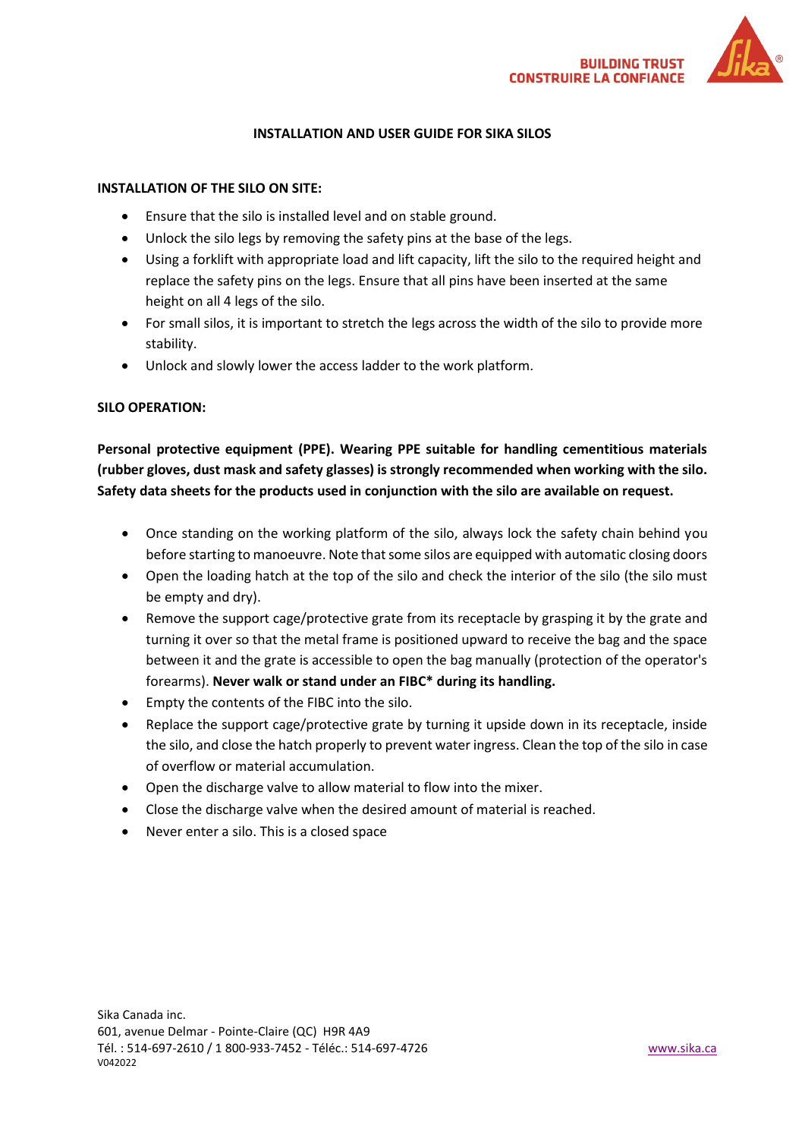

# **INSTALLATION AND USER GUIDE FOR SIKA SILOS**

## **INSTALLATION OF THE SILO ON SITE:**

- Ensure that the silo is installed level and on stable ground.
- Unlock the silo legs by removing the safety pins at the base of the legs.
- Using a forklift with appropriate load and lift capacity, lift the silo to the required height and replace the safety pins on the legs. Ensure that all pins have been inserted at the same height on all 4 legs of the silo.
- For small silos, it is important to stretch the legs across the width of the silo to provide more stability.
- Unlock and slowly lower the access ladder to the work platform.

#### **SILO OPERATION:**

**Personal protective equipment (PPE). Wearing PPE suitable for handling cementitious materials (rubber gloves, dust mask and safety glasses) is strongly recommended when working with the silo. Safety data sheets for the products used in conjunction with the silo are available on request.**

- Once standing on the working platform of the silo, always lock the safety chain behind you before starting to manoeuvre. Note that some silos are equipped with automatic closing doors
- Open the loading hatch at the top of the silo and check the interior of the silo (the silo must be empty and dry).
- Remove the support cage/protective grate from its receptacle by grasping it by the grate and turning it over so that the metal frame is positioned upward to receive the bag and the space between it and the grate is accessible to open the bag manually (protection of the operator's forearms). **Never walk or stand under an FIBC\* during its handling.**
- Empty the contents of the FIBC into the silo.
- Replace the support cage/protective grate by turning it upside down in its receptacle, inside the silo, and close the hatch properly to prevent water ingress. Clean the top of the silo in case of overflow or material accumulation.
- Open the discharge valve to allow material to flow into the mixer.
- Close the discharge valve when the desired amount of material is reached.
- Never enter a silo. This is a closed space